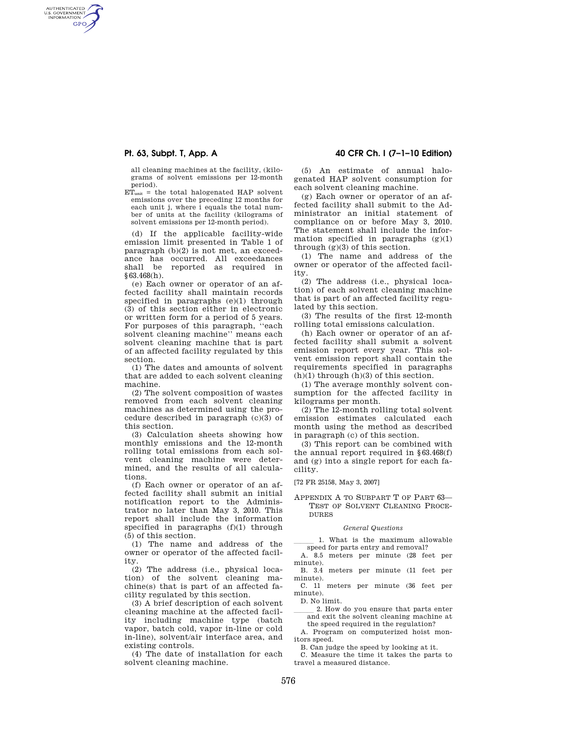AUTHENTICATED<br>U.S. GOVERNMENT<br>INFORMATION **GPO** 

> all cleaning machines at the facility, (kilograms of solvent emissions per 12-month period).

 $ET<sub>unit</sub> = the total halogenated HAP solvent$ emissions over the preceding 12 months for each unit j, where i equals the total number of units at the facility (kilograms of solvent emissions per 12-month period).

(d) If the applicable facility-wide emission limit presented in Table 1 of paragraph (b)(2) is not met, an exceedance has occurred. All exceedances shall be reported as required in §63.468(h).

(e) Each owner or operator of an affected facility shall maintain records specified in paragraphs (e)(1) through (3) of this section either in electronic or written form for a period of 5 years. For purposes of this paragraph, ''each solvent cleaning machine'' means each solvent cleaning machine that is part of an affected facility regulated by this section.

(1) The dates and amounts of solvent that are added to each solvent cleaning machine.

(2) The solvent composition of wastes removed from each solvent cleaning machines as determined using the procedure described in paragraph  $(c)(3)$  of this section.

(3) Calculation sheets showing how monthly emissions and the 12-month rolling total emissions from each solvent cleaning machine were determined, and the results of all calculations.

(f) Each owner or operator of an affected facility shall submit an initial notification report to the Administrator no later than May 3, 2010. This report shall include the information specified in paragraphs (f)(1) through (5) of this section.

(1) The name and address of the owner or operator of the affected facility.

(2) The address (i.e., physical location) of the solvent cleaning machine(s) that is part of an affected facility regulated by this section.

(3) A brief description of each solvent cleaning machine at the affected facility including machine type (batch vapor, batch cold, vapor in-line or cold in-line), solvent/air interface area, and existing controls.

(4) The date of installation for each solvent cleaning machine.

# **Pt. 63, Subpt. T, App. A 40 CFR Ch. I (7–1–10 Edition)**

(5) An estimate of annual halogenated HAP solvent consumption for each solvent cleaning machine.

(g) Each owner or operator of an affected facility shall submit to the Administrator an initial statement of compliance on or before May 3, 2010. The statement shall include the information specified in paragraphs  $(g)(1)$ through  $(\mathrm{g})(3)$  of this section.

(1) The name and address of the owner or operator of the affected facility.

(2) The address (i.e., physical location) of each solvent cleaning machine that is part of an affected facility regulated by this section.

(3) The results of the first 12-month rolling total emissions calculation.

(h) Each owner or operator of an affected facility shall submit a solvent emission report every year. This solvent emission report shall contain the requirements specified in paragraphs  $(h)(1)$  through  $(h)(3)$  of this section.

(1) The average monthly solvent consumption for the affected facility in kilograms per month.

(2) The 12-month rolling total solvent emission estimates calculated each month using the method as described in paragraph (c) of this section.

(3) This report can be combined with the annual report required in §63.468(f) and (g) into a single report for each facility.

[72 FR 25158, May 3, 2007]

APPENDIX A TO SUBPART T OF PART 63— TEST OF SOLVENT CLEANING PROCE-DURES

#### *General Questions*

1. What is the maximum allowable speed for parts entry and removal?

A. 8.5 meters per minute (28 feet per minute).

B. 3.4 meters per minute (11 feet per minute).

C. 11 meters per minute (36 feet per minute).

D. No limit.<br>2. How do you ensure that parts enter 2. How do you ensure that parts enter and exit the solvent cleaning machine at the speed required in the regulation?

A. Program on computerized hoist monitors speed.

B. Can judge the speed by looking at it.

C. Measure the time it takes the parts to travel a measured distance.